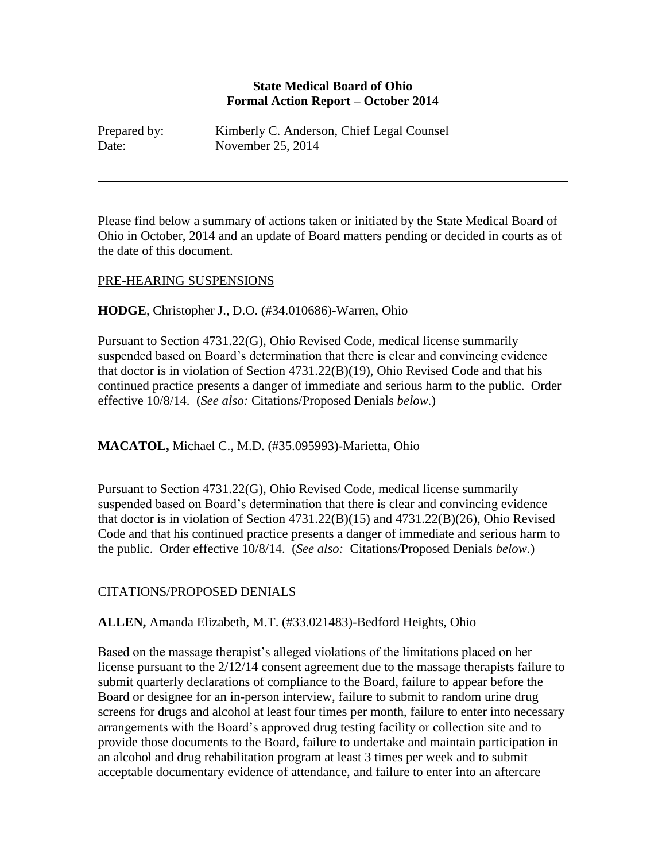### **State Medical Board of Ohio Formal Action Report – October 2014**

| Prepared by: | Kimberly C. Anderson, Chief Legal Counsel |
|--------------|-------------------------------------------|
| Date:        | November 25, 2014                         |

Please find below a summary of actions taken or initiated by the State Medical Board of Ohio in October, 2014 and an update of Board matters pending or decided in courts as of the date of this document.

### PRE-HEARING SUSPENSIONS

### **HODGE**, Christopher J., D.O. (#34.010686)-Warren, Ohio

Pursuant to Section 4731.22(G), Ohio Revised Code, medical license summarily suspended based on Board's determination that there is clear and convincing evidence that doctor is in violation of Section 4731.22(B)(19), Ohio Revised Code and that his continued practice presents a danger of immediate and serious harm to the public. Order effective 10/8/14. (*See also:* Citations/Proposed Denials *below.*)

**MACATOL,** Michael C., M.D. (#35.095993)-Marietta, Ohio

Pursuant to Section 4731.22(G), Ohio Revised Code, medical license summarily suspended based on Board's determination that there is clear and convincing evidence that doctor is in violation of Section  $4731.22(B)(15)$  and  $4731.22(B)(26)$ , Ohio Revised Code and that his continued practice presents a danger of immediate and serious harm to the public. Order effective 10/8/14. (*See also:* Citations/Proposed Denials *below.*)

# CITATIONS/PROPOSED DENIALS

**ALLEN,** Amanda Elizabeth, M.T. (#33.021483)-Bedford Heights, Ohio

Based on the massage therapist's alleged violations of the limitations placed on her license pursuant to the 2/12/14 consent agreement due to the massage therapists failure to submit quarterly declarations of compliance to the Board, failure to appear before the Board or designee for an in-person interview, failure to submit to random urine drug screens for drugs and alcohol at least four times per month, failure to enter into necessary arrangements with the Board's approved drug testing facility or collection site and to provide those documents to the Board, failure to undertake and maintain participation in an alcohol and drug rehabilitation program at least 3 times per week and to submit acceptable documentary evidence of attendance, and failure to enter into an aftercare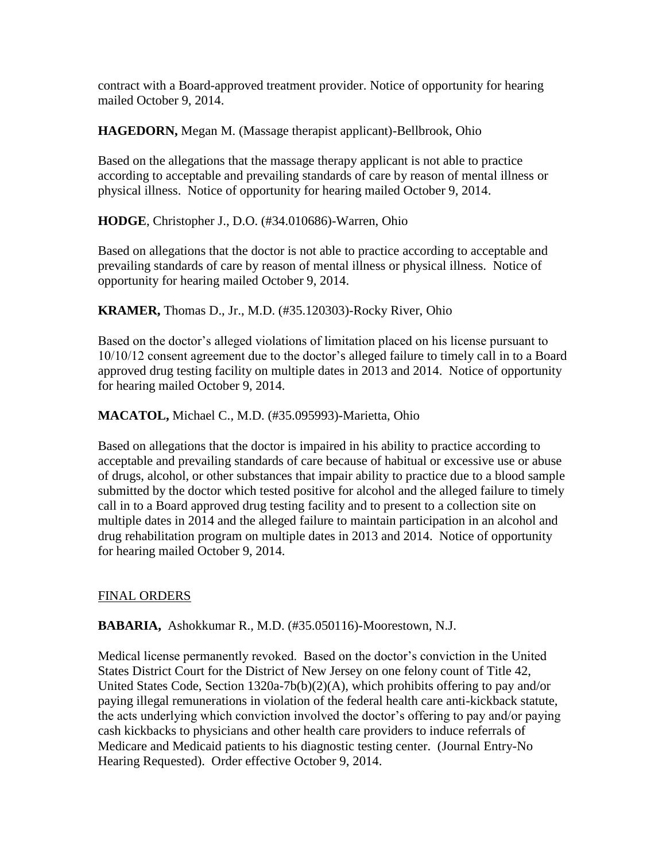contract with a Board-approved treatment provider. Notice of opportunity for hearing mailed October 9, 2014.

**HAGEDORN,** Megan M. (Massage therapist applicant)-Bellbrook, Ohio

Based on the allegations that the massage therapy applicant is not able to practice according to acceptable and prevailing standards of care by reason of mental illness or physical illness. Notice of opportunity for hearing mailed October 9, 2014.

**HODGE**, Christopher J., D.O. (#34.010686)-Warren, Ohio

Based on allegations that the doctor is not able to practice according to acceptable and prevailing standards of care by reason of mental illness or physical illness. Notice of opportunity for hearing mailed October 9, 2014.

**KRAMER,** Thomas D., Jr., M.D. (#35.120303)-Rocky River, Ohio

Based on the doctor's alleged violations of limitation placed on his license pursuant to 10/10/12 consent agreement due to the doctor's alleged failure to timely call in to a Board approved drug testing facility on multiple dates in 2013 and 2014. Notice of opportunity for hearing mailed October 9, 2014.

**MACATOL,** Michael C., M.D. (#35.095993)-Marietta, Ohio

Based on allegations that the doctor is impaired in his ability to practice according to acceptable and prevailing standards of care because of habitual or excessive use or abuse of drugs, alcohol, or other substances that impair ability to practice due to a blood sample submitted by the doctor which tested positive for alcohol and the alleged failure to timely call in to a Board approved drug testing facility and to present to a collection site on multiple dates in 2014 and the alleged failure to maintain participation in an alcohol and drug rehabilitation program on multiple dates in 2013 and 2014. Notice of opportunity for hearing mailed October 9, 2014.

# FINAL ORDERS

**BABARIA,** Ashokkumar R., M.D. (#35.050116)-Moorestown, N.J.

Medical license permanently revoked. Based on the doctor's conviction in the United States District Court for the District of New Jersey on one felony count of Title 42, United States Code, Section 1320a-7b(b)(2)(A), which prohibits offering to pay and/or paying illegal remunerations in violation of the federal health care anti-kickback statute, the acts underlying which conviction involved the doctor's offering to pay and/or paying cash kickbacks to physicians and other health care providers to induce referrals of Medicare and Medicaid patients to his diagnostic testing center. (Journal Entry-No Hearing Requested). Order effective October 9, 2014.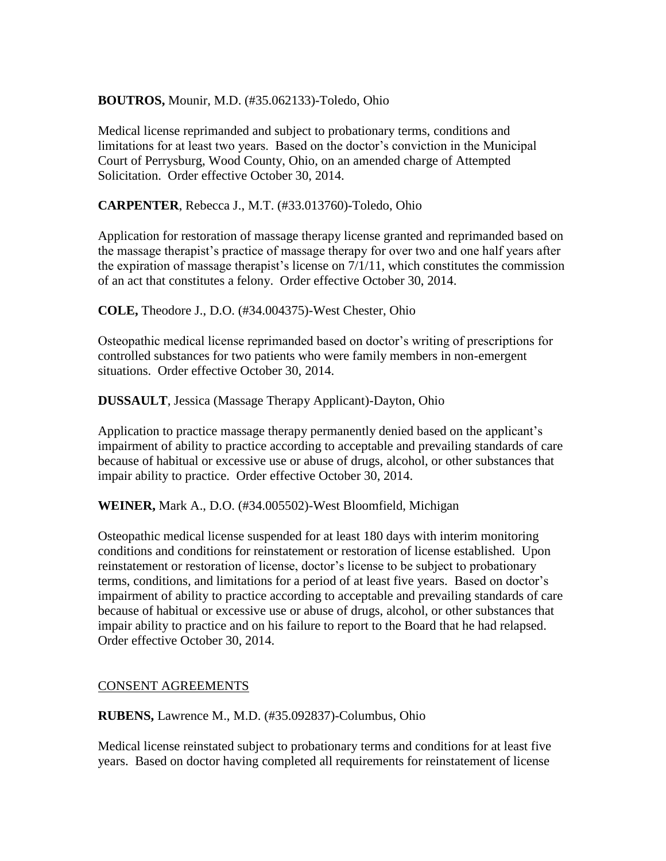# **BOUTROS,** Mounir, M.D. (#35.062133)-Toledo, Ohio

Medical license reprimanded and subject to probationary terms, conditions and limitations for at least two years. Based on the doctor's conviction in the Municipal Court of Perrysburg, Wood County, Ohio, on an amended charge of Attempted Solicitation. Order effective October 30, 2014.

**CARPENTER**, Rebecca J., M.T. (#33.013760)-Toledo, Ohio

Application for restoration of massage therapy license granted and reprimanded based on the massage therapist's practice of massage therapy for over two and one half years after the expiration of massage therapist's license on 7/1/11, which constitutes the commission of an act that constitutes a felony. Order effective October 30, 2014.

**COLE,** Theodore J., D.O. (#34.004375)-West Chester, Ohio

Osteopathic medical license reprimanded based on doctor's writing of prescriptions for controlled substances for two patients who were family members in non-emergent situations. Order effective October 30, 2014.

**DUSSAULT**, Jessica (Massage Therapy Applicant)-Dayton, Ohio

Application to practice massage therapy permanently denied based on the applicant's impairment of ability to practice according to acceptable and prevailing standards of care because of habitual or excessive use or abuse of drugs, alcohol, or other substances that impair ability to practice. Order effective October 30, 2014.

**WEINER,** Mark A., D.O. (#34.005502)-West Bloomfield, Michigan

Osteopathic medical license suspended for at least 180 days with interim monitoring conditions and conditions for reinstatement or restoration of license established. Upon reinstatement or restoration of license, doctor's license to be subject to probationary terms, conditions, and limitations for a period of at least five years. Based on doctor's impairment of ability to practice according to acceptable and prevailing standards of care because of habitual or excessive use or abuse of drugs, alcohol, or other substances that impair ability to practice and on his failure to report to the Board that he had relapsed. Order effective October 30, 2014.

### CONSENT AGREEMENTS

**RUBENS,** Lawrence M., M.D. (#35.092837)-Columbus, Ohio

Medical license reinstated subject to probationary terms and conditions for at least five years. Based on doctor having completed all requirements for reinstatement of license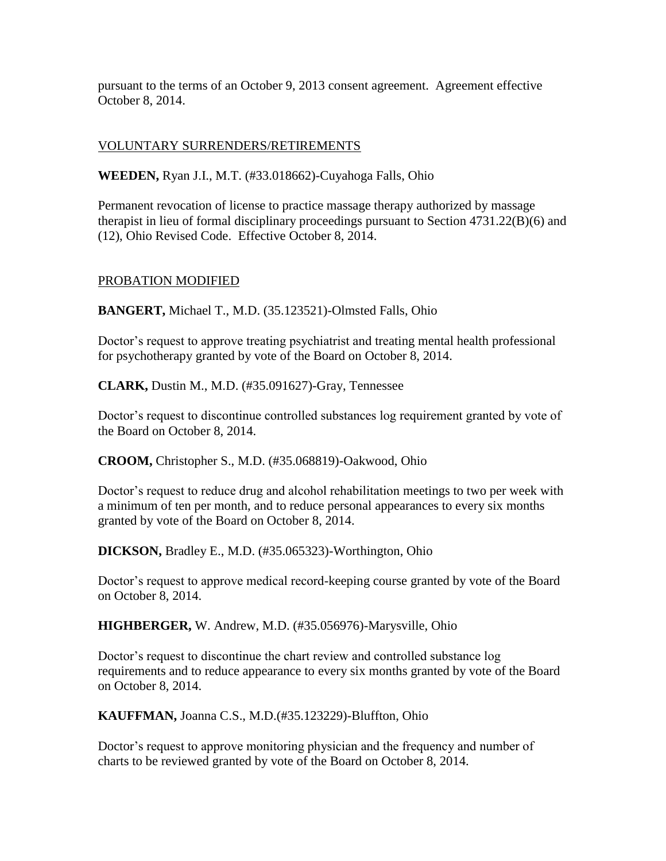pursuant to the terms of an October 9, 2013 consent agreement. Agreement effective October 8, 2014.

# VOLUNTARY SURRENDERS/RETIREMENTS

**WEEDEN,** Ryan J.I., M.T. (#33.018662)-Cuyahoga Falls, Ohio

Permanent revocation of license to practice massage therapy authorized by massage therapist in lieu of formal disciplinary proceedings pursuant to Section 4731.22(B)(6) and (12), Ohio Revised Code. Effective October 8, 2014.

### PROBATION MODIFIED

**BANGERT,** Michael T., M.D. (35.123521)-Olmsted Falls, Ohio

Doctor's request to approve treating psychiatrist and treating mental health professional for psychotherapy granted by vote of the Board on October 8, 2014.

**CLARK,** Dustin M., M.D. (#35.091627)-Gray, Tennessee

Doctor's request to discontinue controlled substances log requirement granted by vote of the Board on October 8, 2014.

**CROOM,** Christopher S., M.D. (#35.068819)-Oakwood, Ohio

Doctor's request to reduce drug and alcohol rehabilitation meetings to two per week with a minimum of ten per month, and to reduce personal appearances to every six months granted by vote of the Board on October 8, 2014.

**DICKSON,** Bradley E., M.D. (#35.065323)-Worthington, Ohio

Doctor's request to approve medical record-keeping course granted by vote of the Board on October 8, 2014.

**HIGHBERGER,** W. Andrew, M.D. (#35.056976)-Marysville, Ohio

Doctor's request to discontinue the chart review and controlled substance log requirements and to reduce appearance to every six months granted by vote of the Board on October 8, 2014.

**KAUFFMAN,** Joanna C.S., M.D.(#35.123229)-Bluffton, Ohio

Doctor's request to approve monitoring physician and the frequency and number of charts to be reviewed granted by vote of the Board on October 8, 2014.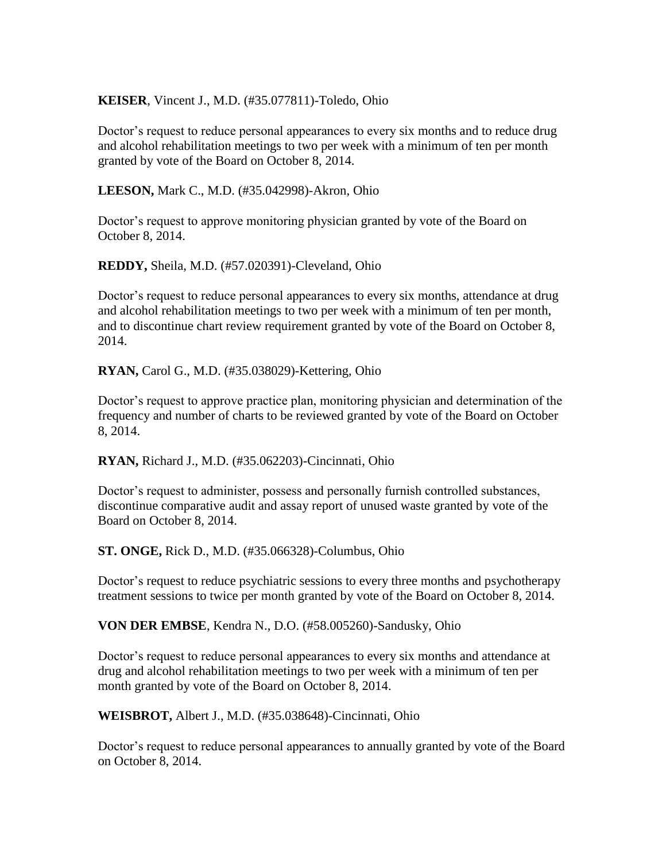### **KEISER**, Vincent J., M.D. (#35.077811)-Toledo, Ohio

Doctor's request to reduce personal appearances to every six months and to reduce drug and alcohol rehabilitation meetings to two per week with a minimum of ten per month granted by vote of the Board on October 8, 2014.

**LEESON,** Mark C., M.D. (#35.042998)-Akron, Ohio

Doctor's request to approve monitoring physician granted by vote of the Board on October 8, 2014.

**REDDY,** Sheila, M.D. (#57.020391)-Cleveland, Ohio

Doctor's request to reduce personal appearances to every six months, attendance at drug and alcohol rehabilitation meetings to two per week with a minimum of ten per month, and to discontinue chart review requirement granted by vote of the Board on October 8, 2014.

**RYAN,** Carol G., M.D. (#35.038029)-Kettering, Ohio

Doctor's request to approve practice plan, monitoring physician and determination of the frequency and number of charts to be reviewed granted by vote of the Board on October 8, 2014.

**RYAN,** Richard J., M.D. (#35.062203)-Cincinnati, Ohio

Doctor's request to administer, possess and personally furnish controlled substances, discontinue comparative audit and assay report of unused waste granted by vote of the Board on October 8, 2014.

**ST. ONGE,** Rick D., M.D. (#35.066328)-Columbus, Ohio

Doctor's request to reduce psychiatric sessions to every three months and psychotherapy treatment sessions to twice per month granted by vote of the Board on October 8, 2014.

**VON DER EMBSE**, Kendra N., D.O. (#58.005260)-Sandusky, Ohio

Doctor's request to reduce personal appearances to every six months and attendance at drug and alcohol rehabilitation meetings to two per week with a minimum of ten per month granted by vote of the Board on October 8, 2014.

**WEISBROT,** Albert J., M.D. (#35.038648)-Cincinnati, Ohio

Doctor's request to reduce personal appearances to annually granted by vote of the Board on October 8, 2014.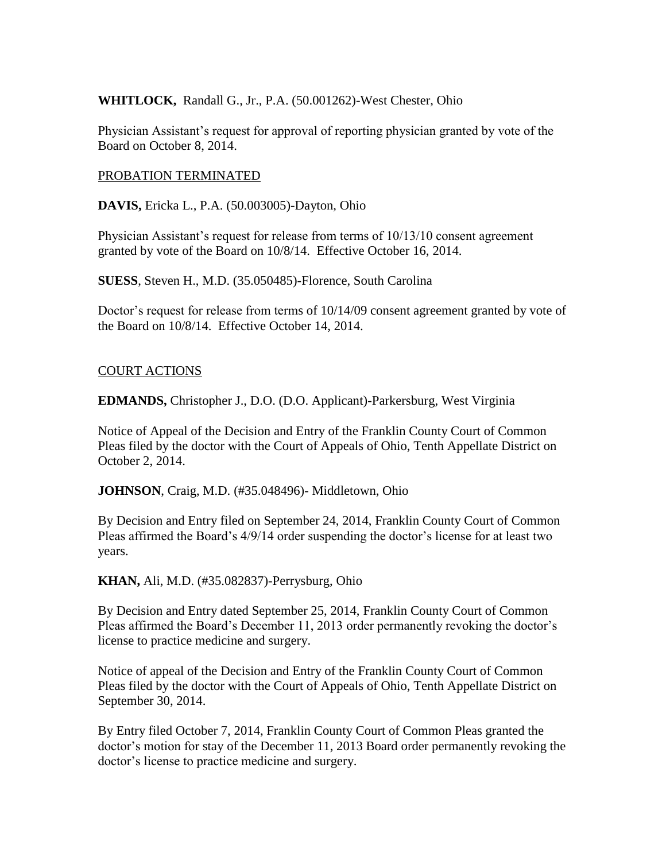# **WHITLOCK,** Randall G., Jr., P.A. (50.001262)-West Chester, Ohio

Physician Assistant's request for approval of reporting physician granted by vote of the Board on October 8, 2014.

### PROBATION TERMINATED

**DAVIS,** Ericka L., P.A. (50.003005)-Dayton, Ohio

Physician Assistant's request for release from terms of 10/13/10 consent agreement granted by vote of the Board on 10/8/14. Effective October 16, 2014.

**SUESS**, Steven H., M.D. (35.050485)-Florence, South Carolina

Doctor's request for release from terms of 10/14/09 consent agreement granted by vote of the Board on 10/8/14. Effective October 14, 2014.

### COURT ACTIONS

**EDMANDS,** Christopher J., D.O. (D.O. Applicant)-Parkersburg, West Virginia

Notice of Appeal of the Decision and Entry of the Franklin County Court of Common Pleas filed by the doctor with the Court of Appeals of Ohio, Tenth Appellate District on October 2, 2014.

**JOHNSON**, Craig, M.D. (#35.048496)- Middletown, Ohio

By Decision and Entry filed on September 24, 2014, Franklin County Court of Common Pleas affirmed the Board's 4/9/14 order suspending the doctor's license for at least two years.

**KHAN,** Ali, M.D. (#35.082837)-Perrysburg, Ohio

By Decision and Entry dated September 25, 2014, Franklin County Court of Common Pleas affirmed the Board's December 11, 2013 order permanently revoking the doctor's license to practice medicine and surgery.

Notice of appeal of the Decision and Entry of the Franklin County Court of Common Pleas filed by the doctor with the Court of Appeals of Ohio, Tenth Appellate District on September 30, 2014.

By Entry filed October 7, 2014, Franklin County Court of Common Pleas granted the doctor's motion for stay of the December 11, 2013 Board order permanently revoking the doctor's license to practice medicine and surgery.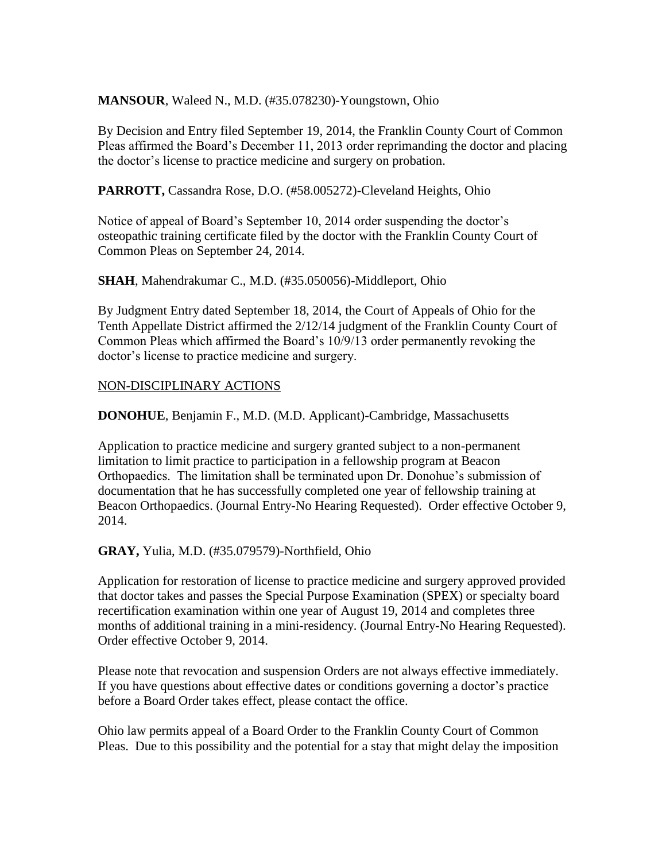**MANSOUR**, Waleed N., M.D. (#35.078230)-Youngstown, Ohio

By Decision and Entry filed September 19, 2014, the Franklin County Court of Common Pleas affirmed the Board's December 11, 2013 order reprimanding the doctor and placing the doctor's license to practice medicine and surgery on probation.

**PARROTT,** Cassandra Rose, D.O. (#58.005272)-Cleveland Heights, Ohio

Notice of appeal of Board's September 10, 2014 order suspending the doctor's osteopathic training certificate filed by the doctor with the Franklin County Court of Common Pleas on September 24, 2014.

**SHAH**, Mahendrakumar C., M.D. (#35.050056)-Middleport, Ohio

By Judgment Entry dated September 18, 2014, the Court of Appeals of Ohio for the Tenth Appellate District affirmed the 2/12/14 judgment of the Franklin County Court of Common Pleas which affirmed the Board's 10/9/13 order permanently revoking the doctor's license to practice medicine and surgery.

### NON-DISCIPLINARY ACTIONS

**DONOHUE**, Benjamin F., M.D. (M.D. Applicant)-Cambridge, Massachusetts

Application to practice medicine and surgery granted subject to a non-permanent limitation to limit practice to participation in a fellowship program at Beacon Orthopaedics. The limitation shall be terminated upon Dr. Donohue's submission of documentation that he has successfully completed one year of fellowship training at Beacon Orthopaedics. (Journal Entry-No Hearing Requested). Order effective October 9, 2014.

**GRAY,** Yulia, M.D. (#35.079579)-Northfield, Ohio

Application for restoration of license to practice medicine and surgery approved provided that doctor takes and passes the Special Purpose Examination (SPEX) or specialty board recertification examination within one year of August 19, 2014 and completes three months of additional training in a mini-residency. (Journal Entry-No Hearing Requested). Order effective October 9, 2014.

Please note that revocation and suspension Orders are not always effective immediately. If you have questions about effective dates or conditions governing a doctor's practice before a Board Order takes effect, please contact the office.

Ohio law permits appeal of a Board Order to the Franklin County Court of Common Pleas. Due to this possibility and the potential for a stay that might delay the imposition